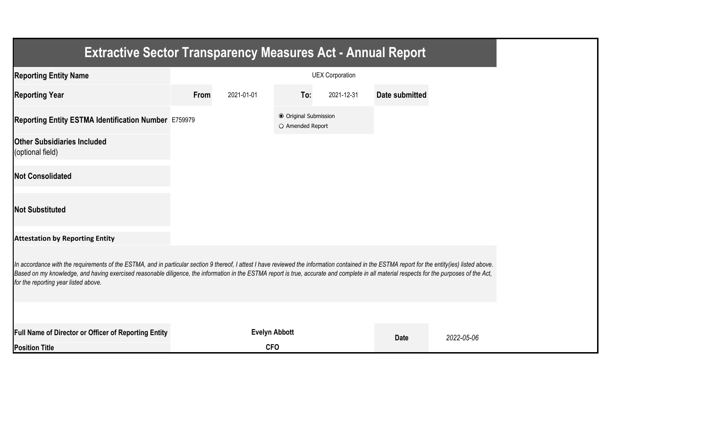| <b>Extractive Sector Transparency Measures Act - Annual Report</b>                                                                                                                                                                                                                                                                                                                                                                    |      |                      |                                           |                        |                |            |  |  |
|---------------------------------------------------------------------------------------------------------------------------------------------------------------------------------------------------------------------------------------------------------------------------------------------------------------------------------------------------------------------------------------------------------------------------------------|------|----------------------|-------------------------------------------|------------------------|----------------|------------|--|--|
| <b>Reporting Entity Name</b>                                                                                                                                                                                                                                                                                                                                                                                                          |      |                      |                                           | <b>UEX Corporation</b> |                |            |  |  |
| <b>Reporting Year</b>                                                                                                                                                                                                                                                                                                                                                                                                                 | From | 2021-01-01           | To:                                       | 2021-12-31             | Date submitted |            |  |  |
| Reporting Entity ESTMA Identification Number E759979                                                                                                                                                                                                                                                                                                                                                                                  |      |                      | ● Original Submission<br>O Amended Report |                        |                |            |  |  |
| <b>Other Subsidiaries Included</b><br>(optional field)                                                                                                                                                                                                                                                                                                                                                                                |      |                      |                                           |                        |                |            |  |  |
| <b>Not Consolidated</b>                                                                                                                                                                                                                                                                                                                                                                                                               |      |                      |                                           |                        |                |            |  |  |
| <b>Not Substituted</b>                                                                                                                                                                                                                                                                                                                                                                                                                |      |                      |                                           |                        |                |            |  |  |
| <b>Attestation by Reporting Entity</b>                                                                                                                                                                                                                                                                                                                                                                                                |      |                      |                                           |                        |                |            |  |  |
| In accordance with the requirements of the ESTMA, and in particular section 9 thereof, I attest I have reviewed the information contained in the ESTMA report for the entity(ies) listed above.<br>Based on my knowledge, and having exercised reasonable diligence, the information in the ESTMA report is true, accurate and complete in all material respects for the purposes of the Act,<br>for the reporting year listed above. |      |                      |                                           |                        |                |            |  |  |
|                                                                                                                                                                                                                                                                                                                                                                                                                                       |      |                      |                                           |                        |                |            |  |  |
| Full Name of Director or Officer of Reporting Entity                                                                                                                                                                                                                                                                                                                                                                                  |      | <b>Evelyn Abbott</b> |                                           |                        | <b>Date</b>    | 2022-05-06 |  |  |
| <b>Position Title</b>                                                                                                                                                                                                                                                                                                                                                                                                                 |      | <b>CFO</b>           |                                           |                        |                |            |  |  |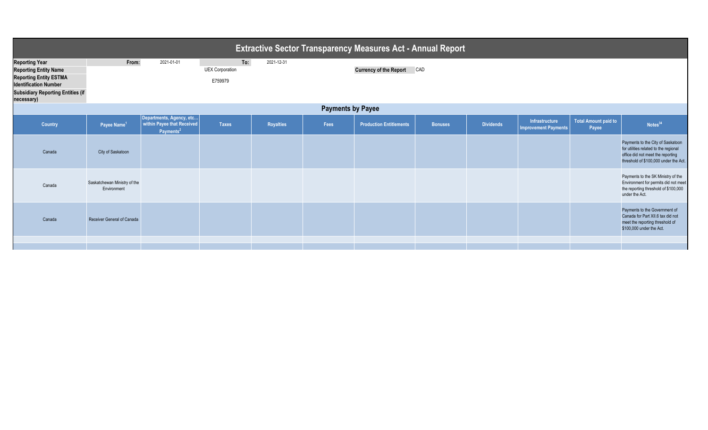| <b>Extractive Sector Transparency Measures Act - Annual Report</b>                                                                                                               |                                             |                                                                                 |                                          |            |      |                                |                |                  |                                               |                                      |                                                                                                                                                          |
|----------------------------------------------------------------------------------------------------------------------------------------------------------------------------------|---------------------------------------------|---------------------------------------------------------------------------------|------------------------------------------|------------|------|--------------------------------|----------------|------------------|-----------------------------------------------|--------------------------------------|----------------------------------------------------------------------------------------------------------------------------------------------------------|
| <b>Reporting Year</b><br><b>Reporting Entity Name</b><br><b>Reporting Entity ESTMA</b><br><b>Identification Number</b><br><b>Subsidiary Reporting Entities (if</b><br>necessary) | From:                                       | 2021-01-01                                                                      | To:<br><b>UEX Corporation</b><br>E759979 | 2021-12-31 |      | Currency of the Report CAD     |                |                  |                                               |                                      |                                                                                                                                                          |
| <b>Payments by Payee</b>                                                                                                                                                         |                                             |                                                                                 |                                          |            |      |                                |                |                  |                                               |                                      |                                                                                                                                                          |
| <b>Country</b>                                                                                                                                                                   | Payee Name <sup>1</sup>                     | Departments, Agency, etc<br>within Payee that Received<br>Payments <sup>2</sup> | <b>Taxes</b>                             | Royalties  | Fees | <b>Production Entitlements</b> | <b>Bonuses</b> | <b>Dividends</b> | Infrastructure<br><b>Improvement Payments</b> | <b>Total Amount paid to</b><br>Payee | Notes <sup>34</sup>                                                                                                                                      |
| Canada                                                                                                                                                                           | City of Saskatoon                           |                                                                                 |                                          |            |      |                                |                |                  |                                               |                                      | Payments to the City of Saskatoon<br>for utilities related to the regional<br>office did not meet the reporting<br>threshold of \$100,000 under the Act. |
| Canada                                                                                                                                                                           | Saskatchewan Ministry of the<br>Environment |                                                                                 |                                          |            |      |                                |                |                  |                                               |                                      | Payments to the SK Ministry of the<br>Environment for permits did not meet<br>the reporting threshold of \$100,000<br>under the Act.                     |
| Canada                                                                                                                                                                           | Receiver General of Canada                  |                                                                                 |                                          |            |      |                                |                |                  |                                               |                                      | Payments to the Government of<br>Canada for Part XII.6 tax did not<br>meet the reporting threshold of<br>\$100,000 under the Act.                        |
|                                                                                                                                                                                  |                                             |                                                                                 |                                          |            |      |                                |                |                  |                                               |                                      |                                                                                                                                                          |